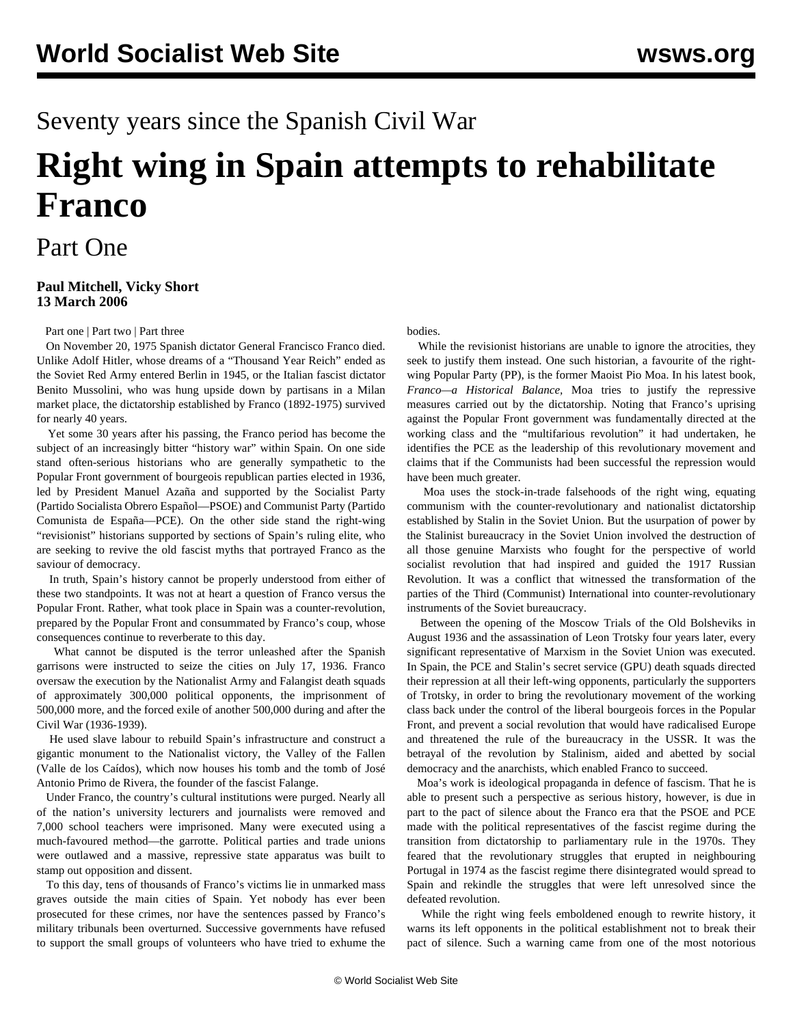# Seventy years since the Spanish Civil War

# **Right wing in Spain attempts to rehabilitate Franco**

## Part One

### **Paul Mitchell, Vicky Short 13 March 2006**

[Part one](/en/articles/2006/03/frnc-m13.html) | [Part two](/en/articles/2006/03/frnc-m14.html) | [Part three](/en/articles/2006/03/fra3-m16.html)

 On November 20, 1975 Spanish dictator General Francisco Franco died. Unlike Adolf Hitler, whose dreams of a "Thousand Year Reich" ended as the Soviet Red Army entered Berlin in 1945, or the Italian fascist dictator Benito Mussolini, who was hung upside down by partisans in a Milan market place, the dictatorship established by Franco (1892-1975) survived for nearly 40 years.

 Yet some 30 years after his passing, the Franco period has become the subject of an increasingly bitter "history war" within Spain. On one side stand often-serious historians who are generally sympathetic to the Popular Front government of bourgeois republican parties elected in 1936, led by President Manuel Azaña and supported by the Socialist Party (Partido Socialista Obrero Español—PSOE) and Communist Party (Partido Comunista de España—PCE). On the other side stand the right-wing "revisionist" historians supported by sections of Spain's ruling elite, who are seeking to revive the old fascist myths that portrayed Franco as the saviour of democracy.

 In truth, Spain's history cannot be properly understood from either of these two standpoints. It was not at heart a question of Franco versus the Popular Front. Rather, what took place in Spain was a counter-revolution, prepared by the Popular Front and consummated by Franco's coup, whose consequences continue to reverberate to this day.

 What cannot be disputed is the terror unleashed after the Spanish garrisons were instructed to seize the cities on July 17, 1936. Franco oversaw the execution by the Nationalist Army and Falangist death squads of approximately 300,000 political opponents, the imprisonment of 500,000 more, and the forced exile of another 500,000 during and after the Civil War (1936-1939).

 He used slave labour to rebuild Spain's infrastructure and construct a gigantic monument to the Nationalist victory, the Valley of the Fallen (Valle de los Caídos), which now houses his tomb and the tomb of José Antonio Primo de Rivera, the founder of the fascist Falange.

 Under Franco, the country's cultural institutions were purged. Nearly all of the nation's university lecturers and journalists were removed and 7,000 school teachers were imprisoned. Many were executed using a much-favoured method—the garrotte. Political parties and trade unions were outlawed and a massive, repressive state apparatus was built to stamp out opposition and dissent.

 To this day, tens of thousands of Franco's victims lie in unmarked mass graves outside the main cities of Spain. Yet nobody has ever been prosecuted for these crimes, nor have the sentences passed by Franco's military tribunals been overturned. Successive governments have refused to support the small groups of volunteers who have tried to exhume the

bodies.

 While the revisionist historians are unable to ignore the atrocities, they seek to justify them instead. One such historian, a favourite of the rightwing Popular Party (PP), is the former Maoist Pio Moa. In his latest book*, Franco—a Historical Balance,* Moa tries to justify the repressive measures carried out by the dictatorship. Noting that Franco's uprising against the Popular Front government was fundamentally directed at the working class and the "multifarious revolution" it had undertaken, he identifies the PCE as the leadership of this revolutionary movement and claims that if the Communists had been successful the repression would have been much greater.

 Moa uses the stock-in-trade falsehoods of the right wing, equating communism with the counter-revolutionary and nationalist dictatorship established by Stalin in the Soviet Union. But the usurpation of power by the Stalinist bureaucracy in the Soviet Union involved the destruction of all those genuine Marxists who fought for the perspective of world socialist revolution that had inspired and guided the 1917 Russian Revolution. It was a conflict that witnessed the transformation of the parties of the Third (Communist) International into counter-revolutionary instruments of the Soviet bureaucracy.

 Between the opening of the Moscow Trials of the Old Bolsheviks in August 1936 and the assassination of Leon Trotsky four years later, every significant representative of Marxism in the Soviet Union was executed. In Spain, the PCE and Stalin's secret service (GPU) death squads directed their repression at all their left-wing opponents, particularly the supporters of Trotsky, in order to bring the revolutionary movement of the working class back under the control of the liberal bourgeois forces in the Popular Front, and prevent a social revolution that would have radicalised Europe and threatened the rule of the bureaucracy in the USSR. It was the betrayal of the revolution by Stalinism, aided and abetted by social democracy and the anarchists, which enabled Franco to succeed.

 Moa's work is ideological propaganda in defence of fascism. That he is able to present such a perspective as serious history, however, is due in part to the pact of silence about the Franco era that the PSOE and PCE made with the political representatives of the fascist regime during the transition from dictatorship to parliamentary rule in the 1970s. They feared that the revolutionary struggles that erupted in neighbouring Portugal in 1974 as the fascist regime there disintegrated would spread to Spain and rekindle the struggles that were left unresolved since the defeated revolution.

 While the right wing feels emboldened enough to rewrite history, it warns its left opponents in the political establishment not to break their pact of silence. Such a warning came from one of the most notorious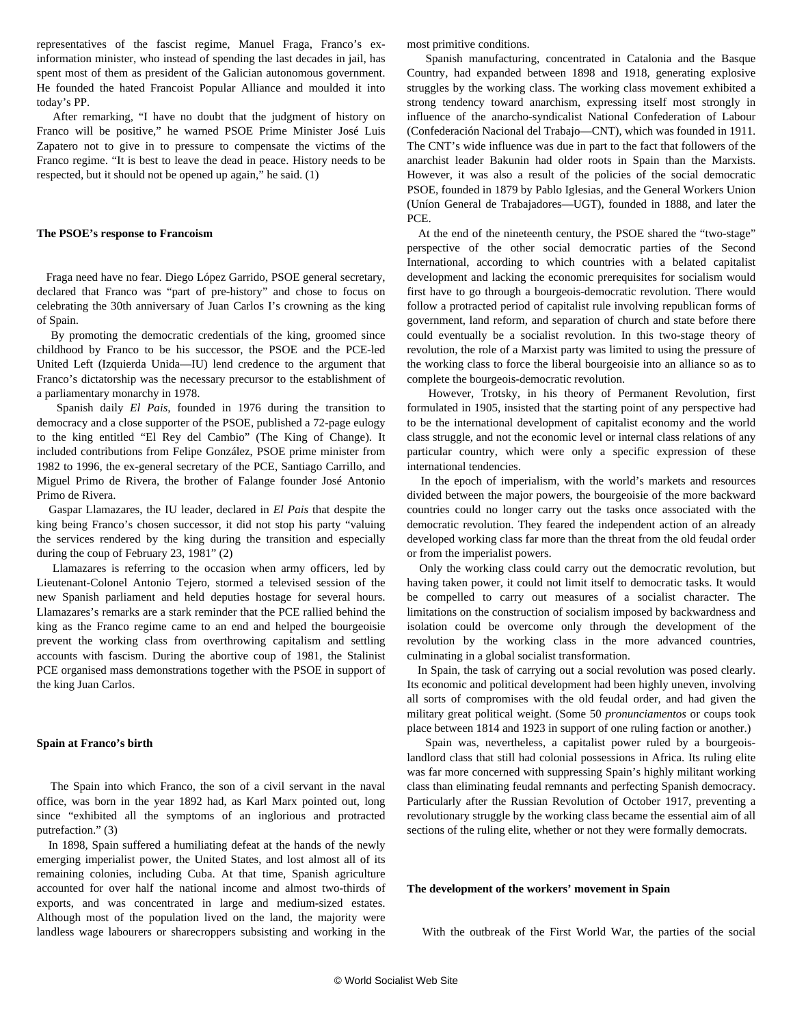representatives of the fascist regime, Manuel Fraga, Franco's exinformation minister, who instead of spending the last decades in jail, has spent most of them as president of the Galician autonomous government. He founded the hated Francoist Popular Alliance and moulded it into today's PP.

 After remarking, "I have no doubt that the judgment of history on Franco will be positive," he warned PSOE Prime Minister José Luis Zapatero not to give in to pressure to compensate the victims of the Franco regime. "It is best to leave the dead in peace. History needs to be respected, but it should not be opened up again," he said. (1)

#### **The PSOE's response to Francoism**

 Fraga need have no fear. Diego López Garrido, PSOE general secretary, declared that Franco was "part of pre-history" and chose to focus on celebrating the 30th anniversary of Juan Carlos I's crowning as the king of Spain.

 By promoting the democratic credentials of the king, groomed since childhood by Franco to be his successor, the PSOE and the PCE-led United Left (Izquierda Unida—IU) lend credence to the argument that Franco's dictatorship was the necessary precursor to the establishment of a parliamentary monarchy in 1978.

 Spanish daily *El Pais,* founded in 1976 during the transition to democracy and a close supporter of the PSOE, published a 72-page eulogy to the king entitled "El Rey del Cambio" (The King of Change). It included contributions from Felipe González, PSOE prime minister from 1982 to 1996, the ex-general secretary of the PCE, Santiago Carrillo, and Miguel Primo de Rivera, the brother of Falange founder José Antonio Primo de Rivera.

 Gaspar Llamazares, the IU leader, declared in *El Pais* that despite the king being Franco's chosen successor, it did not stop his party "valuing the services rendered by the king during the transition and especially during the coup of February 23, 1981" (2)

 Llamazares is referring to the occasion when army officers, led by Lieutenant-Colonel Antonio Tejero, stormed a televised session of the new Spanish parliament and held deputies hostage for several hours. Llamazares's remarks are a stark reminder that the PCE rallied behind the king as the Franco regime came to an end and helped the bourgeoisie prevent the working class from overthrowing capitalism and settling accounts with fascism. During the abortive coup of 1981, the Stalinist PCE organised mass demonstrations together with the PSOE in support of the king Juan Carlos.

#### **Spain at Franco's birth**

 The Spain into which Franco, the son of a civil servant in the naval office, was born in the year 1892 had, as Karl Marx pointed out, long since "exhibited all the symptoms of an inglorious and protracted putrefaction." (3)

 In 1898, Spain suffered a humiliating defeat at the hands of the newly emerging imperialist power, the United States, and lost almost all of its remaining colonies, including Cuba. At that time, Spanish agriculture accounted for over half the national income and almost two-thirds of exports, and was concentrated in large and medium-sized estates. Although most of the population lived on the land, the majority were landless wage labourers or sharecroppers subsisting and working in the

most primitive conditions.

 Spanish manufacturing, concentrated in Catalonia and the Basque Country, had expanded between 1898 and 1918, generating explosive struggles by the working class. The working class movement exhibited a strong tendency toward anarchism, expressing itself most strongly in influence of the anarcho-syndicalist National Confederation of Labour (Confederación Nacional del Trabajo—CNT), which was founded in 1911. The CNT's wide influence was due in part to the fact that followers of the anarchist leader Bakunin had older roots in Spain than the Marxists. However, it was also a result of the policies of the social democratic PSOE, founded in 1879 by Pablo Iglesias, and the General Workers Union (Uníon General de Trabajadores—UGT), founded in 1888, and later the PCE.

 At the end of the nineteenth century, the PSOE shared the "two-stage" perspective of the other social democratic parties of the Second International, according to which countries with a belated capitalist development and lacking the economic prerequisites for socialism would first have to go through a bourgeois-democratic revolution. There would follow a protracted period of capitalist rule involving republican forms of government, land reform, and separation of church and state before there could eventually be a socialist revolution. In this two-stage theory of revolution, the role of a Marxist party was limited to using the pressure of the working class to force the liberal bourgeoisie into an alliance so as to complete the bourgeois-democratic revolution.

 However, Trotsky, in his theory of Permanent Revolution, first formulated in 1905, insisted that the starting point of any perspective had to be the international development of capitalist economy and the world class struggle, and not the economic level or internal class relations of any particular country, which were only a specific expression of these international tendencies.

 In the epoch of imperialism, with the world's markets and resources divided between the major powers, the bourgeoisie of the more backward countries could no longer carry out the tasks once associated with the democratic revolution. They feared the independent action of an already developed working class far more than the threat from the old feudal order or from the imperialist powers.

 Only the working class could carry out the democratic revolution, but having taken power, it could not limit itself to democratic tasks. It would be compelled to carry out measures of a socialist character. The limitations on the construction of socialism imposed by backwardness and isolation could be overcome only through the development of the revolution by the working class in the more advanced countries, culminating in a global socialist transformation.

 In Spain, the task of carrying out a social revolution was posed clearly. Its economic and political development had been highly uneven, involving all sorts of compromises with the old feudal order, and had given the military great political weight. (Some 50 *pronunciamentos* or coups took place between 1814 and 1923 in support of one ruling faction or another.)

 Spain was, nevertheless, a capitalist power ruled by a bourgeoislandlord class that still had colonial possessions in Africa. Its ruling elite was far more concerned with suppressing Spain's highly militant working class than eliminating feudal remnants and perfecting Spanish democracy. Particularly after the Russian Revolution of October 1917, preventing a revolutionary struggle by the working class became the essential aim of all sections of the ruling elite, whether or not they were formally democrats.

#### **The development of the workers' movement in Spain**

With the outbreak of the First World War, the parties of the social